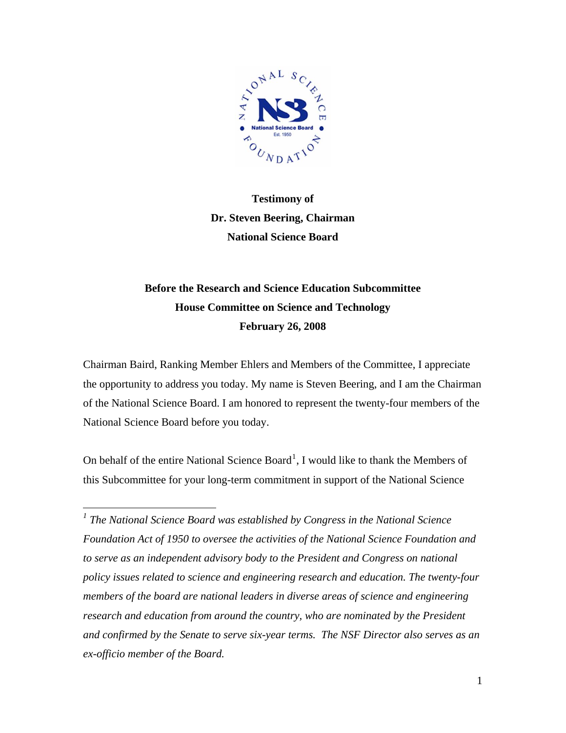

# **Testimony of Dr. Steven Beering, Chairman National Science Board**

## **Before the Research and Science Education Subcommittee House Committee on Science and Technology February 26, 2008**

Chairman Baird, Ranking Member Ehlers and Members of the Committee, I appreciate the opportunity to address you today. My name is Steven Beering, and I am the Chairman of the National Science Board. I am honored to represent the twenty-four members of the National Science Board before you today.

On behalf of the entire National Science  $Board<sup>1</sup>$  $Board<sup>1</sup>$  $Board<sup>1</sup>$ , I would like to thank the Members of this Subcommittee for your long-term commitment in support of the National Science

 $\overline{a}$ 

<span id="page-0-0"></span><sup>1</sup> The National Science Board was established by Congress in the National Science *Foundation Act of 1950 to oversee the activities of the National Science Foundation and*  to serve as an independent advisory body to the President and Congress on national *policy issues related to science and engineering research and education. The twenty-four members of the board are national leaders in diverse areas of science and engineering*  research and education from around the country, who are nominated by the President *and confirmed by the Senate to serve six-year terms. The NSF Director also serves as an ex-officio member of the Board.*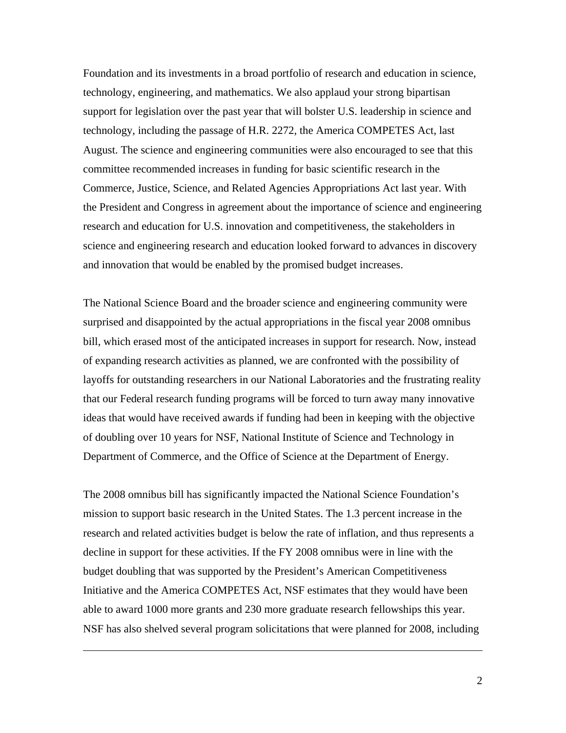Foundation and its investments in a broad portfolio of research and education in science, technology, engineering, and mathematics. We also applaud your strong bipartisan support for legislation over the past year that will bolster U.S. leadership in science and technology, including the passage of H.R. 2272, the America COMPETES Act, last August. The science and engineering communities were also encouraged to see that this committee recommended increases in funding for basic scientific research in the Commerce, Justice, Science, and Related Agencies Appropriations Act last year. With the President and Congress in agreement about the importance of science and engineering research and education for U.S. innovation and competitiveness, the stakeholders in science and engineering research and education looked forward to advances in discovery and innovation that would be enabled by the promised budget increases.

The National Science Board and the broader science and engineering community were surprised and disappointed by the actual appropriations in the fiscal year 2008 omnibus bill, which erased most of the anticipated increases in support for research. Now, instead of expanding research activities as planned, we are confronted with the possibility of layoffs for outstanding researchers in our National Laboratories and the frustrating reality that our Federal research funding programs will be forced to turn away many innovative ideas that would have received awards if funding had been in keeping with the objective of doubling over 10 years for NSF, National Institute of Science and Technology in Department of Commerce, and the Office of Science at the Department of Energy.

The 2008 omnibus bill has significantly impacted the National Science Foundation's mission to support basic research in the United States. The 1.3 percent increase in the research and related activities budget is below the rate of inflation, and thus represents a decline in support for these activities. If the FY 2008 omnibus were in line with the budget doubling that was supported by the President's American Competitiveness Initiative and the America COMPETES Act, NSF estimates that they would have been able to award 1000 more grants and 230 more graduate research fellowships this year. NSF has also shelved several program solicitations that were planned for 2008, including

<u>.</u>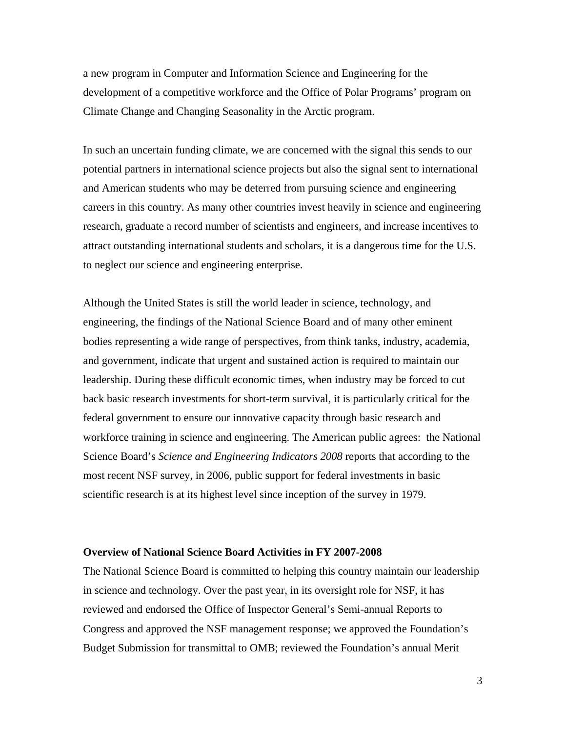a new program in Computer and Information Science and Engineering for the development of a competitive workforce and the Office of Polar Programs' program on Climate Change and Changing Seasonality in the Arctic program.

In such an uncertain funding climate, we are concerned with the signal this sends to our potential partners in international science projects but also the signal sent to international and American students who may be deterred from pursuing science and engineering careers in this country. As many other countries invest heavily in science and engineering research, graduate a record number of scientists and engineers, and increase incentives to attract outstanding international students and scholars, it is a dangerous time for the U.S. to neglect our science and engineering enterprise.

Although the United States is still the world leader in science, technology, and engineering, the findings of the National Science Board and of many other eminent bodies representing a wide range of perspectives, from think tanks, industry, academia, and government, indicate that urgent and sustained action is required to maintain our leadership. During these difficult economic times, when industry may be forced to cut back basic research investments for short-term survival, it is particularly critical for the federal government to ensure our innovative capacity through basic research and workforce training in science and engineering. The American public agrees: the National Science Board's *Science and Engineering Indicators 2008* reports that according to the most recent NSF survey, in 2006, public support for federal investments in basic scientific research is at its highest level since inception of the survey in 1979.

## **Overview of National Science Board Activities in FY 2007-2008**

The National Science Board is committed to helping this country maintain our leadership in science and technology. Over the past year, in its oversight role for NSF, it has reviewed and endorsed the Office of Inspector General's Semi-annual Reports to Congress and approved the NSF management response; we approved the Foundation's Budget Submission for transmittal to OMB; reviewed the Foundation's annual Merit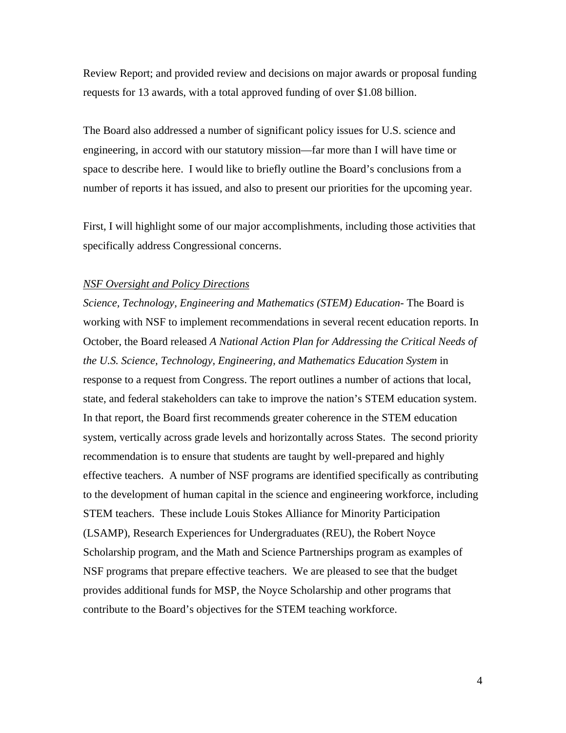Review Report; and provided review and decisions on major awards or proposal funding requests for 13 awards, with a total approved funding of over \$1.08 billion.

The Board also addressed a number of significant policy issues for U.S. science and engineering, in accord with our statutory mission—far more than I will have time or space to describe here. I would like to briefly outline the Board's conclusions from a number of reports it has issued, and also to present our priorities for the upcoming year.

First, I will highlight some of our major accomplishments, including those activities that specifically address Congressional concerns.

#### *NSF Oversight and Policy Directions*

*Science, Technology, Engineering and Mathematics (STEM) Education-* The Board is working with NSF to implement recommendations in several recent education reports. In October, the Board released *A National Action Plan for Addressing the Critical Needs of the U.S. Science, Technology, Engineering, and Mathematics Education System* in response to a request from Congress. The report outlines a number of actions that local, state, and federal stakeholders can take to improve the nation's STEM education system. In that report, the Board first recommends greater coherence in the STEM education system, vertically across grade levels and horizontally across States. The second priority recommendation is to ensure that students are taught by well-prepared and highly effective teachers. A number of NSF programs are identified specifically as contributing to the development of human capital in the science and engineering workforce, including STEM teachers. These include Louis Stokes Alliance for Minority Participation (LSAMP), Research Experiences for Undergraduates (REU), the Robert Noyce Scholarship program, and the Math and Science Partnerships program as examples of NSF programs that prepare effective teachers. We are pleased to see that the budget provides additional funds for MSP, the Noyce Scholarship and other programs that contribute to the Board's objectives for the STEM teaching workforce.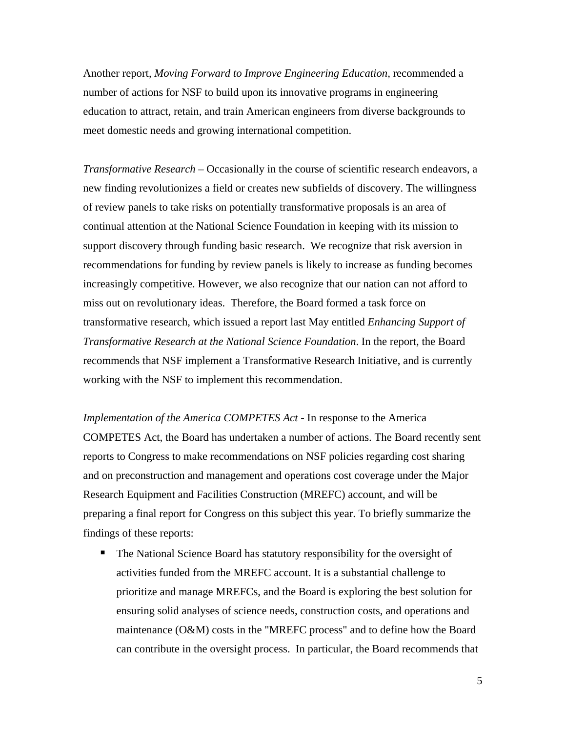Another report, *Moving Forward to Improve Engineering Education,* recommended a number of actions for NSF to build upon its innovative programs in engineering education to attract, retain, and train American engineers from diverse backgrounds to meet domestic needs and growing international competition.

*Transformative Research* – Occasionally in the course of scientific research endeavors, a new finding revolutionizes a field or creates new subfields of discovery. The willingness of review panels to take risks on potentially transformative proposals is an area of continual attention at the National Science Foundation in keeping with its mission to support discovery through funding basic research. We recognize that risk aversion in recommendations for funding by review panels is likely to increase as funding becomes increasingly competitive. However, we also recognize that our nation can not afford to miss out on revolutionary ideas. Therefore, the Board formed a task force on transformative research, which issued a report last May entitled *Enhancing Support of Transformative Research at the National Science Foundation*. In the report, the Board recommends that NSF implement a Transformative Research Initiative, and is currently working with the NSF to implement this recommendation.

*Implementation of the America COMPETES Act -* In response to the America COMPETES Act, the Board has undertaken a number of actions. The Board recently sent reports to Congress to make recommendations on NSF policies regarding cost sharing and on preconstruction and management and operations cost coverage under the Major Research Equipment and Facilities Construction (MREFC) account, and will be preparing a final report for Congress on this subject this year. To briefly summarize the findings of these reports:

• The National Science Board has statutory responsibility for the oversight of activities funded from the MREFC account. It is a substantial challenge to prioritize and manage MREFCs, and the Board is exploring the best solution for ensuring solid analyses of science needs, construction costs, and operations and maintenance (O&M) costs in the "MREFC process" and to define how the Board can contribute in the oversight process. In particular, the Board recommends that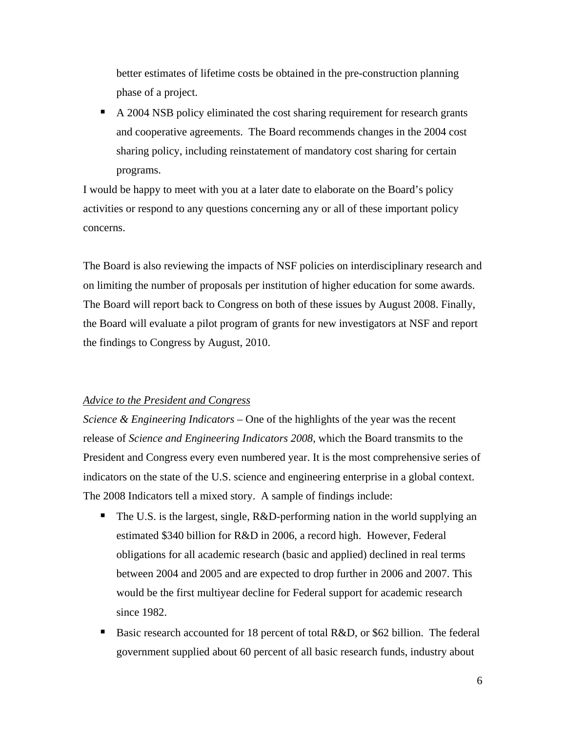better estimates of lifetime costs be obtained in the pre-construction planning phase of a project.

A 2004 NSB policy eliminated the cost sharing requirement for research grants and cooperative agreements. The Board recommends changes in the 2004 cost sharing policy, including reinstatement of mandatory cost sharing for certain programs.

I would be happy to meet with you at a later date to elaborate on the Board's policy activities or respond to any questions concerning any or all of these important policy concerns.

The Board is also reviewing the impacts of NSF policies on interdisciplinary research and on limiting the number of proposals per institution of higher education for some awards. The Board will report back to Congress on both of these issues by August 2008. Finally, the Board will evaluate a pilot program of grants for new investigators at NSF and report the findings to Congress by August, 2010.

## *Advice to the President and Congress*

*Science & Engineering Indicators –* One of the highlights of the year was the recent release of *Science and Engineering Indicators 2008*, which the Board transmits to the President and Congress every even numbered year. It is the most comprehensive series of indicators on the state of the U.S. science and engineering enterprise in a global context. The 2008 Indicators tell a mixed story. A sample of findings include:

- The U.S. is the largest, single,  $R&D$ -performing nation in the world supplying an estimated \$340 billion for R&D in 2006, a record high. However, Federal obligations for all academic research (basic and applied) declined in real terms between 2004 and 2005 and are expected to drop further in 2006 and 2007. This would be the first multiyear decline for Federal support for academic research since 1982.
- Basic research accounted for 18 percent of total R&D, or \$62 billion. The federal government supplied about 60 percent of all basic research funds, industry about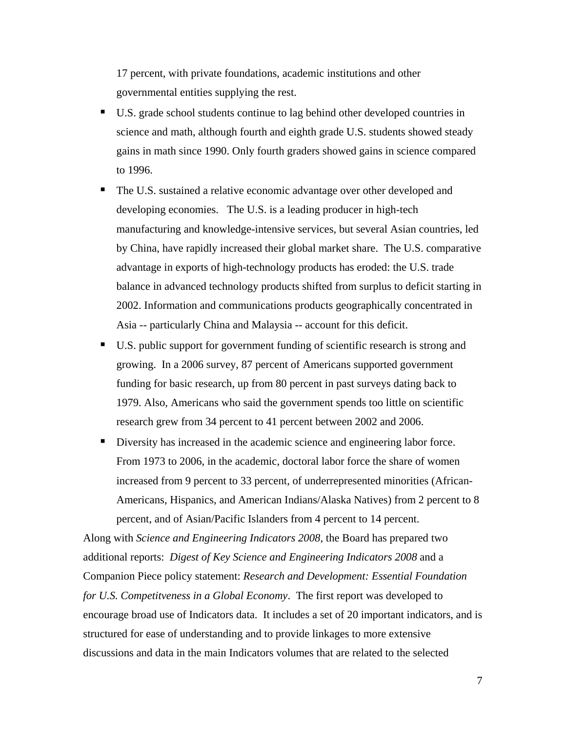17 percent, with private foundations, academic institutions and other governmental entities supplying the rest.

- U.S. grade school students continue to lag behind other developed countries in science and math, although fourth and eighth grade U.S. students showed steady gains in math since 1990. Only fourth graders showed gains in science compared to 1996.
- The U.S. sustained a relative economic advantage over other developed and developing economies. The U.S. is a leading producer in high-tech manufacturing and knowledge-intensive services, but several Asian countries, led by China, have rapidly increased their global market share. The U.S. comparative advantage in exports of high-technology products has eroded: the U.S. trade balance in advanced technology products shifted from surplus to deficit starting in 2002. Information and communications products geographically concentrated in Asia -- particularly China and Malaysia -- account for this deficit.
- U.S. public support for government funding of scientific research is strong and growing. In a 2006 survey, 87 percent of Americans supported government funding for basic research, up from 80 percent in past surveys dating back to 1979. Also, Americans who said the government spends too little on scientific research grew from 34 percent to 41 percent between 2002 and 2006.
- Diversity has increased in the academic science and engineering labor force. From 1973 to 2006, in the academic, doctoral labor force the share of women increased from 9 percent to 33 percent, of underrepresented minorities (African-Americans, Hispanics, and American Indians/Alaska Natives) from 2 percent to 8 percent, and of Asian/Pacific Islanders from 4 percent to 14 percent.

Along with *Science and Engineering Indicators 2008*, the Board has prepared two additional reports: *Digest of Key Science and Engineering Indicators 2008* and a Companion Piece policy statement: *Research and Development: Essential Foundation for U.S. Competitveness in a Global Economy*. The first report was developed to encourage broad use of Indicators data. It includes a set of 20 important indicators, and is structured for ease of understanding and to provide linkages to more extensive discussions and data in the main Indicators volumes that are related to the selected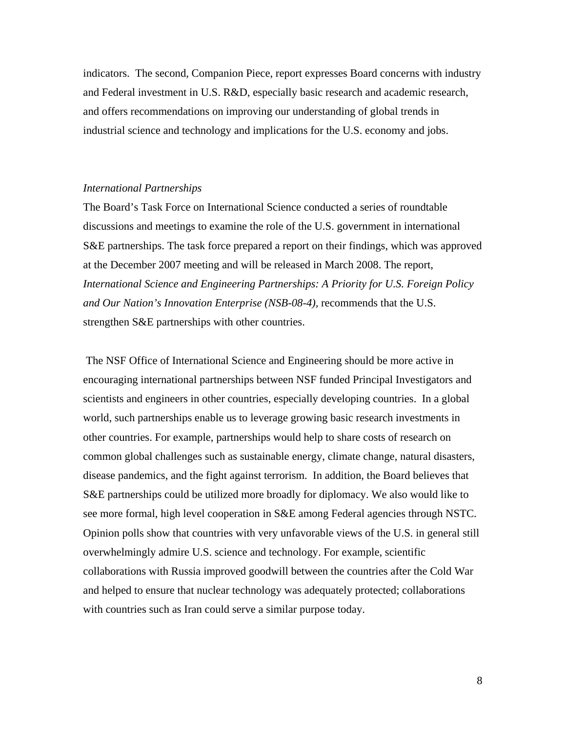indicators. The second, Companion Piece, report expresses Board concerns with industry and Federal investment in U.S. R&D, especially basic research and academic research, and offers recommendations on improving our understanding of global trends in industrial science and technology and implications for the U.S. economy and jobs.

## *International Partnerships*

The Board's Task Force on International Science conducted a series of roundtable discussions and meetings to examine the role of the U.S. government in international S&E partnerships. The task force prepared a report on their findings, which was approved at the December 2007 meeting and will be released in March 2008. The report, *International Science and Engineering Partnerships: A Priority for U.S. Foreign Policy and Our Nation's Innovation Enterprise (NSB-08-4),* recommends that the U.S. strengthen S&E partnerships with other countries.

 The NSF Office of International Science and Engineering should be more active in encouraging international partnerships between NSF funded Principal Investigators and scientists and engineers in other countries, especially developing countries. In a global world, such partnerships enable us to leverage growing basic research investments in other countries. For example, partnerships would help to share costs of research on common global challenges such as sustainable energy, climate change, natural disasters, disease pandemics, and the fight against terrorism. In addition, the Board believes that S&E partnerships could be utilized more broadly for diplomacy. We also would like to see more formal, high level cooperation in S&E among Federal agencies through NSTC. Opinion polls show that countries with very unfavorable views of the U.S. in general still overwhelmingly admire U.S. science and technology. For example, scientific collaborations with Russia improved goodwill between the countries after the Cold War and helped to ensure that nuclear technology was adequately protected; collaborations with countries such as Iran could serve a similar purpose today.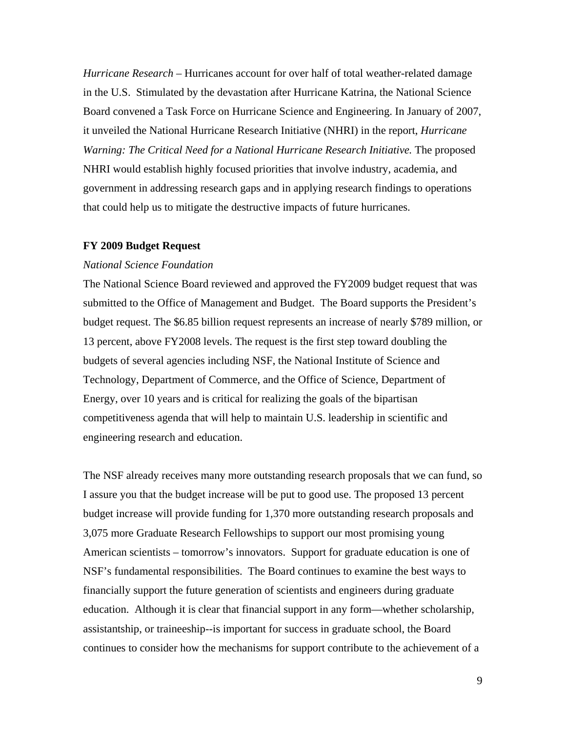*Hurricane Research –* Hurricanes account for over half of total weather-related damage in the U.S. Stimulated by the devastation after Hurricane Katrina, the National Science Board convened a Task Force on Hurricane Science and Engineering. In January of 2007, it unveiled the National Hurricane Research Initiative (NHRI) in the report, *Hurricane Warning: The Critical Need for a National Hurricane Research Initiative.* The proposed NHRI would establish highly focused priorities that involve industry, academia, and government in addressing research gaps and in applying research findings to operations that could help us to mitigate the destructive impacts of future hurricanes.

#### **FY 2009 Budget Request**

#### *National Science Foundation*

The National Science Board reviewed and approved the FY2009 budget request that was submitted to the Office of Management and Budget. The Board supports the President's budget request. The \$6.85 billion request represents an increase of nearly \$789 million, or 13 percent, above FY2008 levels. The request is the first step toward doubling the budgets of several agencies including NSF, the National Institute of Science and Technology, Department of Commerce, and the Office of Science, Department of Energy, over 10 years and is critical for realizing the goals of the bipartisan competitiveness agenda that will help to maintain U.S. leadership in scientific and engineering research and education.

The NSF already receives many more outstanding research proposals that we can fund, so I assure you that the budget increase will be put to good use. The proposed 13 percent budget increase will provide funding for 1,370 more outstanding research proposals and 3,075 more Graduate Research Fellowships to support our most promising young American scientists – tomorrow's innovators. Support for graduate education is one of NSF's fundamental responsibilities. The Board continues to examine the best ways to financially support the future generation of scientists and engineers during graduate education. Although it is clear that financial support in any form—whether scholarship, assistantship, or traineeship--is important for success in graduate school, the Board continues to consider how the mechanisms for support contribute to the achievement of a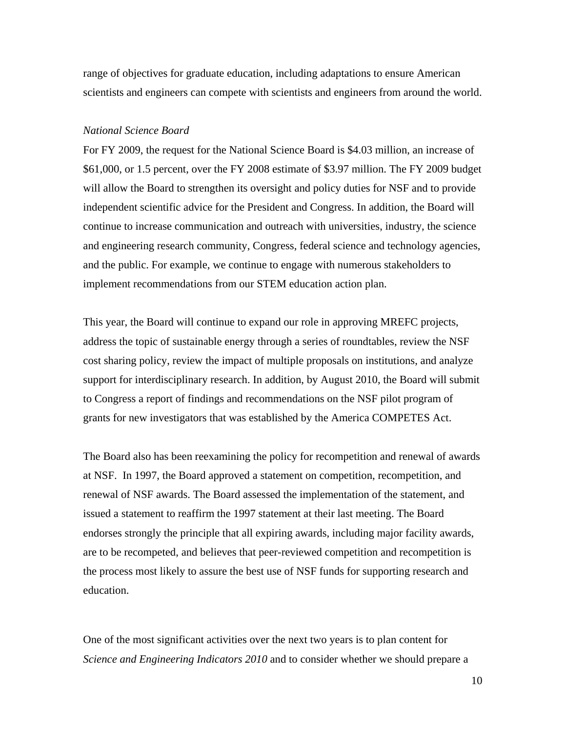range of objectives for graduate education, including adaptations to ensure American scientists and engineers can compete with scientists and engineers from around the world.

#### *National Science Board*

For FY 2009, the request for the National Science Board is \$4.03 million, an increase of \$61,000, or 1.5 percent, over the FY 2008 estimate of \$3.97 million. The FY 2009 budget will allow the Board to strengthen its oversight and policy duties for NSF and to provide independent scientific advice for the President and Congress. In addition, the Board will continue to increase communication and outreach with universities, industry, the science and engineering research community, Congress, federal science and technology agencies, and the public. For example, we continue to engage with numerous stakeholders to implement recommendations from our STEM education action plan.

This year, the Board will continue to expand our role in approving MREFC projects, address the topic of sustainable energy through a series of roundtables, review the NSF cost sharing policy, review the impact of multiple proposals on institutions, and analyze support for interdisciplinary research. In addition, by August 2010, the Board will submit to Congress a report of findings and recommendations on the NSF pilot program of grants for new investigators that was established by the America COMPETES Act.

The Board also has been reexamining the policy for recompetition and renewal of awards at NSF. In 1997, the Board approved a statement on competition, recompetition, and renewal of NSF awards. The Board assessed the implementation of the statement, and issued a statement to reaffirm the 1997 statement at their last meeting. The Board endorses strongly the principle that all expiring awards, including major facility awards, are to be recompeted, and believes that peer-reviewed competition and recompetition is the process most likely to assure the best use of NSF funds for supporting research and education.

One of the most significant activities over the next two years is to plan content for *Science and Engineering Indicators 2010* and to consider whether we should prepare a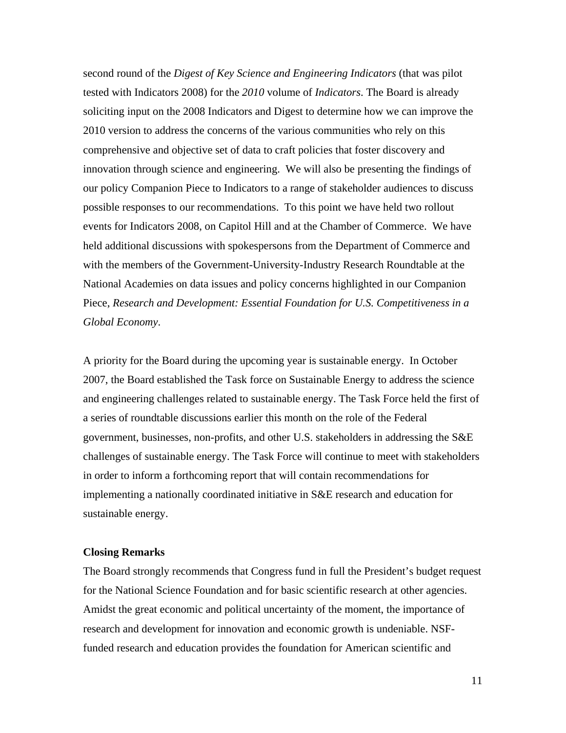second round of the *Digest of Key Science and Engineering Indicators* (that was pilot tested with Indicators 2008) for the *2010* volume of *Indicators*. The Board is already soliciting input on the 2008 Indicators and Digest to determine how we can improve the 2010 version to address the concerns of the various communities who rely on this comprehensive and objective set of data to craft policies that foster discovery and innovation through science and engineering. We will also be presenting the findings of our policy Companion Piece to Indicators to a range of stakeholder audiences to discuss possible responses to our recommendations. To this point we have held two rollout events for Indicators 2008, on Capitol Hill and at the Chamber of Commerce. We have held additional discussions with spokespersons from the Department of Commerce and with the members of the Government-University-Industry Research Roundtable at the National Academies on data issues and policy concerns highlighted in our Companion Piece, *Research and Development: Essential Foundation for U.S. Competitiveness in a Global Economy*.

A priority for the Board during the upcoming year is sustainable energy. In October 2007, the Board established the Task force on Sustainable Energy to address the science and engineering challenges related to sustainable energy. The Task Force held the first of a series of roundtable discussions earlier this month on the role of the Federal government, businesses, non-profits, and other U.S. stakeholders in addressing the S&E challenges of sustainable energy. The Task Force will continue to meet with stakeholders in order to inform a forthcoming report that will contain recommendations for implementing a nationally coordinated initiative in S&E research and education for sustainable energy.

## **Closing Remarks**

The Board strongly recommends that Congress fund in full the President's budget request for the National Science Foundation and for basic scientific research at other agencies. Amidst the great economic and political uncertainty of the moment, the importance of research and development for innovation and economic growth is undeniable. NSFfunded research and education provides the foundation for American scientific and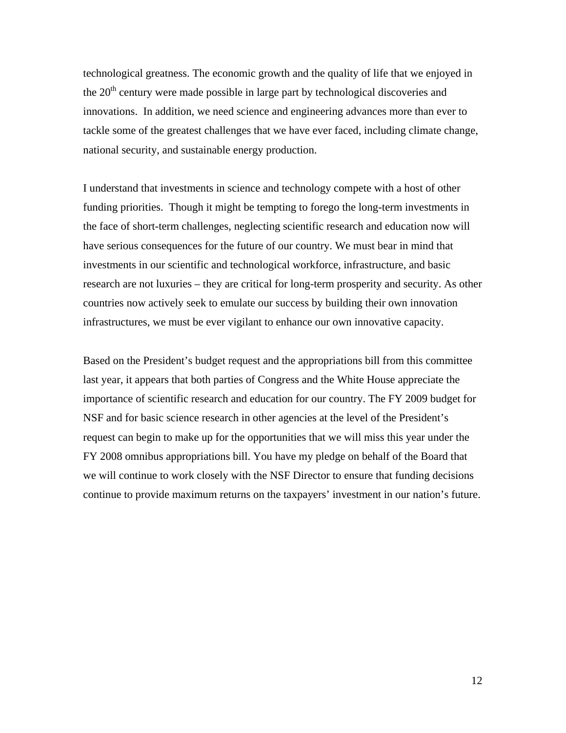technological greatness. The economic growth and the quality of life that we enjoyed in the  $20<sup>th</sup>$  century were made possible in large part by technological discoveries and innovations. In addition, we need science and engineering advances more than ever to tackle some of the greatest challenges that we have ever faced, including climate change, national security, and sustainable energy production.

I understand that investments in science and technology compete with a host of other funding priorities. Though it might be tempting to forego the long-term investments in the face of short-term challenges, neglecting scientific research and education now will have serious consequences for the future of our country. We must bear in mind that investments in our scientific and technological workforce, infrastructure, and basic research are not luxuries – they are critical for long-term prosperity and security. As other countries now actively seek to emulate our success by building their own innovation infrastructures, we must be ever vigilant to enhance our own innovative capacity.

Based on the President's budget request and the appropriations bill from this committee last year, it appears that both parties of Congress and the White House appreciate the importance of scientific research and education for our country. The FY 2009 budget for NSF and for basic science research in other agencies at the level of the President's request can begin to make up for the opportunities that we will miss this year under the FY 2008 omnibus appropriations bill. You have my pledge on behalf of the Board that we will continue to work closely with the NSF Director to ensure that funding decisions continue to provide maximum returns on the taxpayers' investment in our nation's future.